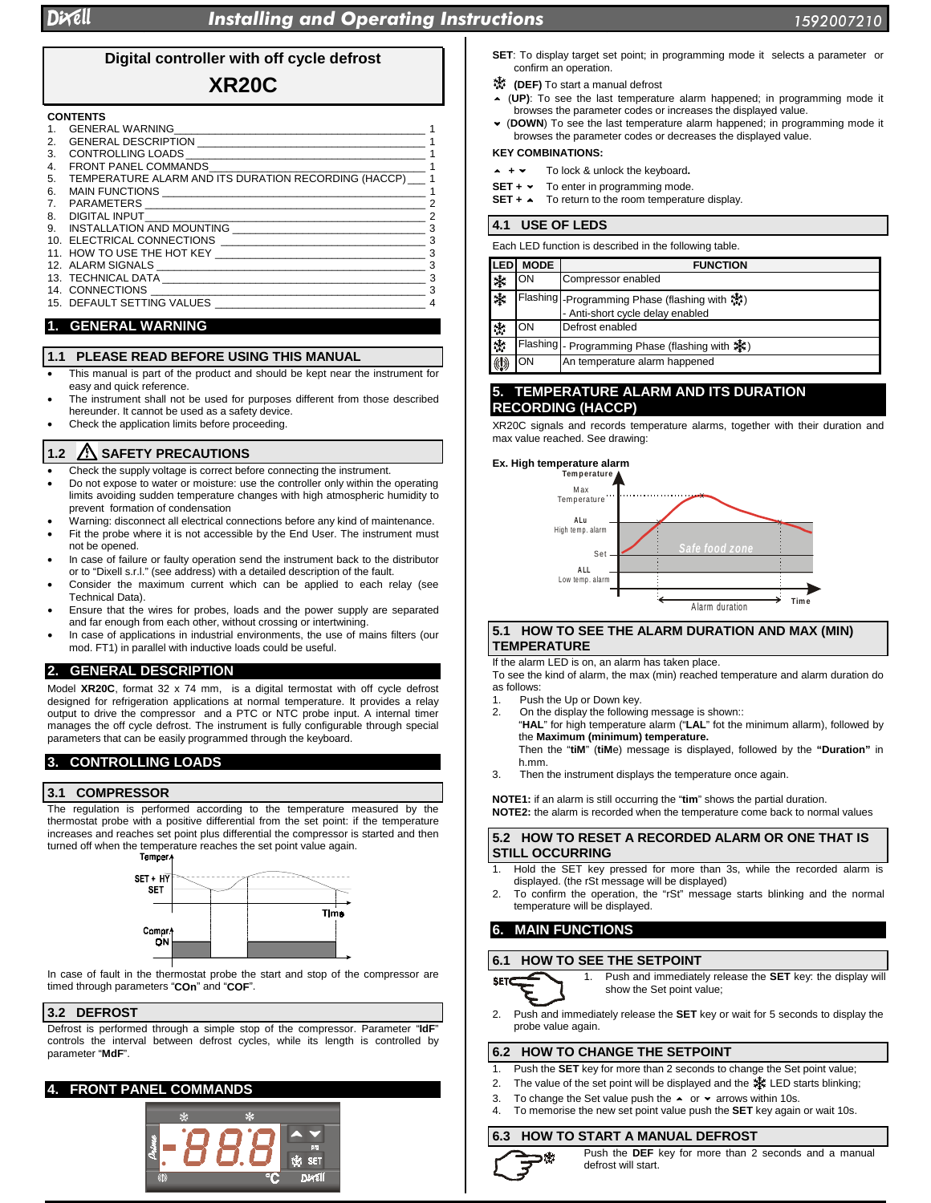# **Digital controller with off cycle defrost**

# **XR20C**

#### **CONTENTS**

| 1. | <b>GENERAL WARNING</b>                               |                |
|----|------------------------------------------------------|----------------|
| 2. | GENERAL DESCRIPTION                                  |                |
| 3. | CONTROLLING LOADS                                    |                |
| 4. | <b>FRONT PANEL COMMANDS</b>                          |                |
| 5. | TEMPERATURE ALARM AND ITS DURATION RECORDING (HACCP) |                |
| 6. | MAIN FUNCTIONS                                       | 1              |
| 7. | PARAMETERS                                           | $\overline{2}$ |
| 8. | DIGITAL INPUT                                        | $\mathcal{P}$  |
| 9. | INSTALLATION AND MOUNTING                            | 3              |
|    | 10. ELECTRICAL CONNECTIONS                           | 3              |
|    | 11. HOW TO USE THE HOT KEY                           | 3              |
|    | 12. ALARM SIGNALS                                    | 3              |
|    | 13. TECHNICAL DATA <b>Example 2018</b>               | 3              |
|    | 14. CONNECTIONS                                      | 3              |
|    | 15. DEFAULT SETTING VALUES                           | 4              |

# **1. GENERAL WARNING**

#### **1.1 PLEASE READ BEFORE USING THIS MANUAL**

- This manual is part of the product and should be kept near the instrument for easy and quick reference.
- The instrument shall not be used for purposes different from those described hereunder. It cannot be used as a safety device.
- Check the application limits before proceeding.

### **1.2 SAFETY PRECAUTIONS**

- Check the supply voltage is correct before connecting the instrument.
- Do not expose to water or moisture: use the controller only within the operating limits avoiding sudden temperature changes with high atmospheric humidity to prevent formation of condensation
- Warning: disconnect all electrical connections before any kind of maintenance.
- Fit the probe where it is not accessible by the End User. The instrument must not be opened.
- In case of failure or faulty operation send the instrument back to the distributor or to "Dixell s.r.l." (see address) with a detailed description of the fault.
- Consider the maximum current which can be applied to each relay (see Technical Data).
- Ensure that the wires for probes, loads and the power supply are separated and far enough from each other, without crossing or intertwining.
- In case of applications in industrial environments, the use of mains filters (our mod. FT1) in parallel with inductive loads could be useful.

### **2. GENERAL DESCRIPTION**

Model **XR20C**, format 32 x 74 mm, is a digital termostat with off cycle defrost designed for refrigeration applications at normal temperature. It provides a relay output to drive the compressor and a PTC or NTC probe input. A internal timer manages the off cycle defrost. The instrument is fully configurable through special parameters that can be easily programmed through the keyboard.

### **3. CONTROLLING LOADS**

#### **3.1 COMPRESSOR**

The regulation is performed according to the temperature measured by the thermostat probe with a positive differential from the set point: if the temperature increases and reaches set point plus differential the compressor is started and then turned off when the temperature reaches the set point value again.<br>Temper.



In case of fault in the thermostat probe the start and stop of the compressor are timed through parameters "**COn**" and "**COF**".

#### **3.2 DEFROST**

Defrost is performed through a simple stop of the compressor. Parameter "**IdF**" controls the interval between defrost cycles, while its length is controlled by parameter "**MdF**".

### **4. FRONT PANEL COMMANDS**



- **SET**: To display target set point; in programming mode it selects a parameter or confirm an operation.
- **(DEF)** To start a manual defrost
- (**UP)**: To see the last temperature alarm happened; in programming mode it browses the parameter codes or increases the displayed value.
- (**DOWN**) To see the last temperature alarm happened; in programming mode it browses the parameter codes or decreases the displayed value.

### **KEY COMBINATIONS:**

- $+ +$ **<sup>+</sup>** To lock & unlock the keyboard**.**
- **SET + •** To enter in programming mode.
- **SET +**  $\sim$  To return to the room temperature display.

#### **4.1 USE OF LEDS**

| Each LED function is described in the following table. |             |                                                                                    |  |  |  |  |
|--------------------------------------------------------|-------------|------------------------------------------------------------------------------------|--|--|--|--|
| ILED                                                   | <b>MODE</b> | <b>FUNCTION</b>                                                                    |  |  |  |  |
| 涞                                                      | ON          | Compressor enabled                                                                 |  |  |  |  |
| 溱                                                      |             | Flashing   Programming Phase (flashing with ※)<br>- Anti-short cycle delay enabled |  |  |  |  |
| 澪                                                      | OΝ          | Defrost enabled                                                                    |  |  |  |  |
| 漆                                                      |             | Flashing  - Programming Phase (flashing with ※)                                    |  |  |  |  |
|                                                        | ON          | An temperature alarm happened                                                      |  |  |  |  |

### **5. TEMPERATURE ALARM AND ITS DURATION RECORDING (HACCP)**

XR20C signals and records temperature alarms, together with their duration and max value reached. See drawing:



#### **5.1 HOW TO SEE THE ALARM DURATION AND MAX (MIN) TEMPERATURE**

If the alarm LED is on, an alarm has taken place.

To see the kind of alarm, the max (min) reached temperature and alarm duration do as follows:

- Push the Up or Down key.
- 2. On the display the following message is shown::
	- "**HAL**" for high temperature alarm ("**LAL**" fot the minimum allarm), followed by the **Maximum (minimum) temperature.**
	- Then the "**tiM**" (**tiM**e) message is displayed, followed by the **"Duration"** in h.mm.
- 3. Then the instrument displays the temperature once again.

**NOTE1:** if an alarm is still occurring the "**tim**" shows the partial duration. **NOTE2:** the alarm is recorded when the temperature come back to normal values

#### **5.2 HOW TO RESET A RECORDED ALARM OR ONE THAT IS STILL OCCURRING**

- 1. Hold the SET key pressed for more than 3s, while the recorded alarm is displayed. (the rSt message will be displayed)
- 2. To confirm the operation, the "rSt" message starts blinking and the normal

# **6.1 HOW TO SEE THE SETPOINT**



1. Push and immediately release the **SET** key: the display will show the Set point value;

2. Push and immediately release the **SET** key or wait for 5 seconds to display the probe value again.

## **6.2 HOW TO CHANGE THE SETPOINT**

- 1. Push the **SET** key for more than 2 seconds to change the Set point value;
- 2. The value of the set point will be displayed and the  $\ddot{*}$ : LED starts blinking;
- To change the Set value push the  $\sim$  or  $\sim$  arrows within 10s.
	- 4. To memorise the new set point value push the **SET** key again or wait 10s.

#### **6.3 HOW TO START A MANUAL DEFROST**



Push the **DEF** key for more than 2 seconds and a manual defrost will start.

temperature will be displayed. **6. MAIN FUNCTIONS**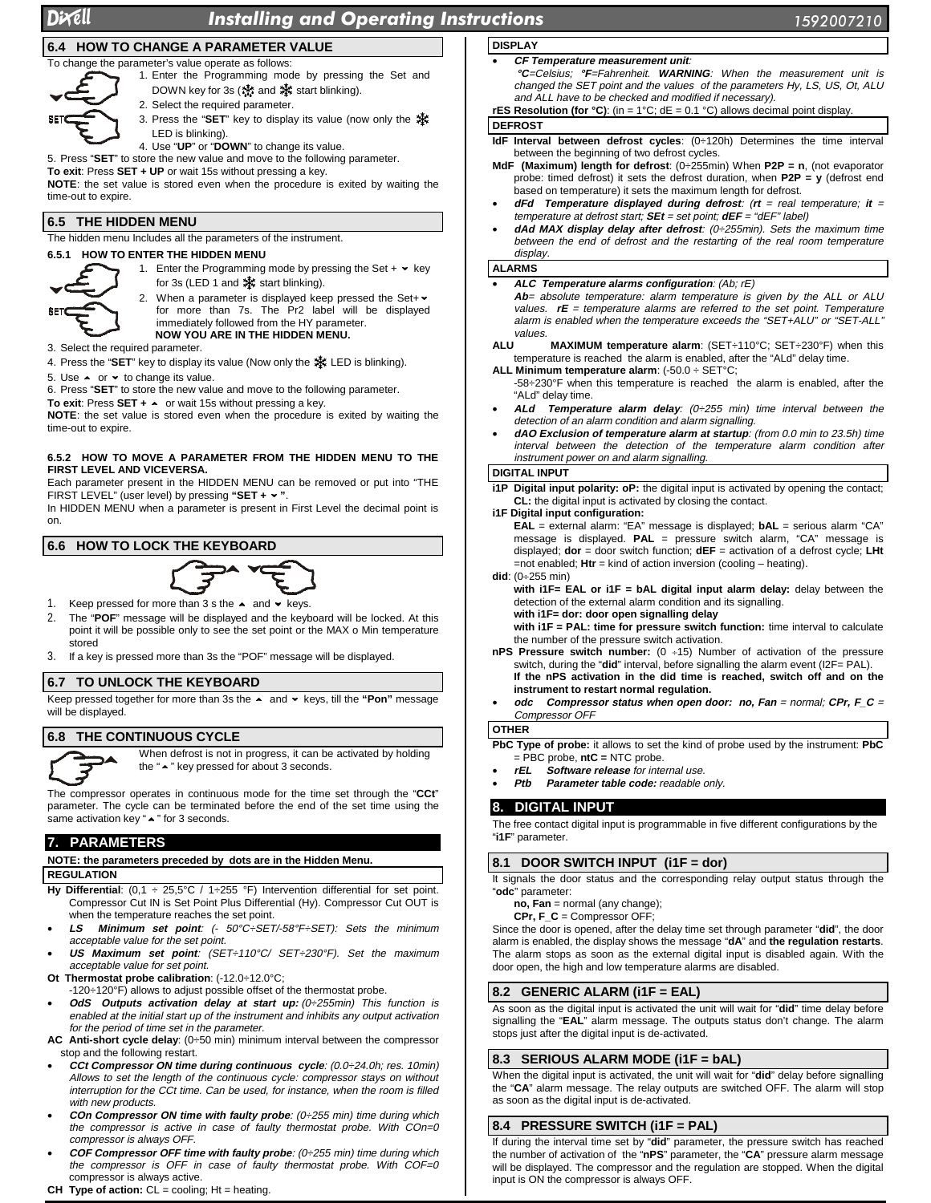# Dixell In

# stalling and Operating Instruction

# **6.4 HOW TO CHANGE A PARAMETER VALUE**

To change the parameter's value operate as follows:



- 2. Select the required parameter.
	-
- 3. Press the "**SET**" key to display its value (now only the LED is blinking).

4. Use "**UP**" or "**DOWN**" to change its value.

5. Press "**SET**" to store the new value and move to the following parameter.

**To exit**: Press **SET + UP** or wait 15s without pressing a key.

**NOTE**: the set value is stored even when the procedure is exited by waiting the time-out to expire.

#### **6.5 THE HIDDEN MENU**

The hidden menu Includes all the parameters of the instrument.

### **6.5.1 HOW TO ENTER THE HIDDEN MENU**



1. Enter the Programming mode by pressing the Set +  $\star$  key for 3s (LED 1 and  $\frac{1}{2}$  start blinking).

2. When a parameter is displayed keep pressed the Set+  $\sim$ for more than 7s. The Pr2 label will be displayed immediately followed from the HY parameter. **NOW YOU ARE IN THE HIDDEN MENU.**

3. Select the required parameter.

4. Press the "**SET**" key to display its value (Now only the LED is blinking).

- 5. Use  $\sim$  or  $\sim$  to change its value.
- 6. Press "**SET**" to store the new value and move to the following parameter.
- **To exit**: Press **SET +**  or wait 15s without pressing a key.

**NOTE**: the set value is stored even when the procedure is exited by waiting the time-out to expire.

#### **6.5.2 HOW TO MOVE A PARAMETER FROM THE HIDDEN MENU TO THE FIRST LEVEL AND VICEVERSA.**

Each parameter present in the HIDDEN MENU can be removed or put into "THE FIRST LEVEL" (user level) by pressing **"SET + "**.

In HIDDEN MENU when a parameter is present in First Level the decimal point is on.

# **6.6 HOW TO LOCK THE KEYBOARD**



- 1. Keep pressed for more than 3 s the  $\sim$  and  $\sim$  keys.
- 2. The "**POF**" message will be displayed and the keyboard will be locked. At this point it will be possible only to see the set point or the MAX o Min temperature stored
- 3. If a key is pressed more than 3s the "POF" message will be displayed.

#### **6.7 TO UNLOCK THE KEYBOARD**

Keep pressed together for more than 3s the  $\sim$  and  $\sim$  keys, till the "Pon" message will be displayed.

#### **6.8 THE CONTINUOUS CYCLE**



When defrost is not in progress, it can be activated by holding the " $\sim$  " key pressed for about 3 seconds.

The compressor operates in continuous mode for the time set through the "**CCt**" parameter. The cycle can be terminated before the end of the set time using the same activation key " $\sim$  " for 3 seconds.

### **7. PARAMETERS**

### **NOTE: the parameters preceded by dots are in the Hidden Menu.**

#### **REGULATION**

- **Hy Differential**: (0,1 ÷ 25,5°C / 1÷255 °F) Intervention differential for set point. Compressor Cut IN is Set Point Plus Differential (Hy). Compressor Cut OUT is when the temperature reaches the set point.
- **LS Minimum set point**: (- 50°C÷SET/-58°F÷SET): Sets the minimum acceptable value for the set point.
- **US Maximum set point**: (SET÷110°C/ SET÷230°F). Set the maximum acceptable value for set point.
- **Ot Thermostat probe calibration**: (-12.0÷12.0°C;
	- -120÷120°F) allows to adjust possible offset of the thermostat probe.
- **OdS** Outputs activation delay at start up: (0÷255min) This function is enabled at the initial start up of the instrument and inhibits any output activation
- for the period of time set in the parameter. **AC Anti-short cycle delay**: (0÷50 min) minimum interval between the compressor stop and the following restart.
- **CCt Compressor ON time during continuous cycle**: (0.0÷24.0h; res. 10min) Allows to set the length of the continuous cycle: compressor stays on without interruption for the CCt time. Can be used, for instance, when the room is filled with new products.
- **COn Compressor ON time with faulty probe**: (0÷255 min) time during which the compressor is active in case of faulty thermostat probe. With COn=0 compressor is always OFF.
- **COF Compressor OFF time with faulty probe**: (0÷255 min) time during which the compressor is OFF in case of faulty thermostat probe. With COF=0 compressor is always active.

#### **CH Type of action:** CL = cooling; Ht = heating.

- **DISPLAY** • **CF Temperature measurement unit**:
- **°C**=Celsius; **°F**=Fahrenheit. **WARNING**: When the measurement unit is changed the SET point and the values of the parameters Hy, LS, US, Ot, ALU and ALL have to be checked and modified if necessary).

**rES Resolution (for**  $^{\circ}C$ **)**: (in = 1 $^{\circ}C$ ; dE = 0.1  $^{\circ}C$ ) allows decimal point display.

#### **DEFROST**

**IdF Interval between defrost cycles**: (0÷120h) Determines the time interval between the beginning of two defrost cycles.

- **MdF (Maximum) length for defrost**: (0÷255min) When **P2P = n**, (not evaporator probe: timed defrost) it sets the defrost duration, when **P2P = y** (defrost end based on temperature) it sets the maximum length for defrost.
- **dFd Temperature displayed during defrost**: (**rt** = real temperature; **it** <sup>=</sup> temperature at defrost start; **SEt** = set point; **dEF** <sup>=</sup>"dEF" label)
- **dAd MAX display delay after defrost**: (0÷255min). Sets the maximum time between the end of defrost and the restarting of the real room temperature display.

#### **ALARMS**

- **ALC Temperature alarms configuration**: (Ab; rE)
	- Ab= absolute temperature: alarm temperature is given by the ALL or ALU values.  $rE =$  temperature alarms are referred to the set point. Temperature alarm is enabled when the temperature exceeds the "SET+ALU" or "SET-ALL" values.
- **ALU MAXIMUM temperature alarm**: (SET÷110°C; SET÷230°F) when this temperature is reached the alarm is enabled, after the "ALd" delay time.
- **ALL Minimum temperature alarm**: (-50.0 ÷ SET°C; -58÷230°F when this temperature is reached the alarm is enabled, after the
- "ALd" delay time. • **ALd Temperature alarm delay**: (0÷255 min) time interval between the detection of an alarm condition and alarm signalling.
- **dAO Exclusion of temperature alarm at startup**: (from 0.0 min to 23.5h) time interval between the detection of the temperature alarm condition after instrument power on and alarm signalling.

#### **DIGITAL INPUT**

**i1P Digital input polarity: oP:** the digital input is activated by opening the contact; **CL:** the digital input is activated by closing the contact.

#### **i1F Digital input configuration:**

**EAL** = external alarm: "EA" message is displayed; **bAL** = serious alarm "CA" message is displayed. **PAL** = pressure switch alarm, "CA" message is displayed; **dor** = door switch function; **dEF** = activation of a defrost cycle; **LHt** =not enabled; **Htr** = kind of action inversion (cooling – heating).

#### **did**: (0÷255 min)

**with i1F= EAL or i1F = bAL digital input alarm delay:** delay between the detection of the external alarm condition and its signalling.

**with i1F= dor: door open signalling delay**

**with i1F = PAL: time for pressure switch function:** time interval to calculate the number of the pressure switch activation.

- **nPS Pressure switch number:** (0 ÷15) Number of activation of the pressure switch, during the "**did**" interval, before signalling the alarm event (I2F= PAL). **If the nPS activation in the did time is reached, switch off and on the instrument to restart normal regulation.**
- **odc Compressor status when open door: no, Fan** = normal; **CPr, F\_C** <sup>=</sup> Compressor OFF

#### **OTHER**

**PbC Type of probe:** it allows to set the kind of probe used by the instrument: **PbC** = PBC probe, **ntC =** NTC probe.

- **rEL Software release** for internal use.
- **Ptb Parameter table code:** readable only.

#### **8. DIGITAL INPUT**

The free contact digital input is programmable in five different configurations by the "**i1F**" parameter.

#### **8.1 DOOR SWITCH INPUT (i1F = dor)**

It signals the door status and the corresponding relay output status through the "**odc**" parameter:

- **no, Fan** = normal (any change);
- **CPr, F\_C** = Compressor OFF;

Since the door is opened, after the delay time set through parameter "**did**", the door alarm is enabled, the display shows the message "**dA**" and **the regulation restarts**. The alarm stops as soon as the external digital input is disabled again. With the door open, the high and low temperature alarms are disabled.

#### **8.2 GENERIC ALARM (i1F = EAL)**

As soon as the digital input is activated the unit will wait for "**did**" time delay before signalling the "**EAL**" alarm message. The outputs status don't change. The alarm stops just after the digital input is de-activated.

#### **8.3 SERIOUS ALARM MODE (i1F = bAL)**

When the digital input is activated, the unit will wait for "**did**" delay before signalling the "**CA**" alarm message. The relay outputs are switched OFF. The alarm will stop as soon as the digital input is de-activated.

### **8.4 PRESSURE SWITCH (i1F = PAL)**

If during the interval time set by "**did**" parameter, the pressure switch has reached the number of activation of the "**nPS**" parameter, the "**CA**" pressure alarm message will be displayed. The compressor and the regulation are stopped. When the digital input is ON the compressor is always OFF.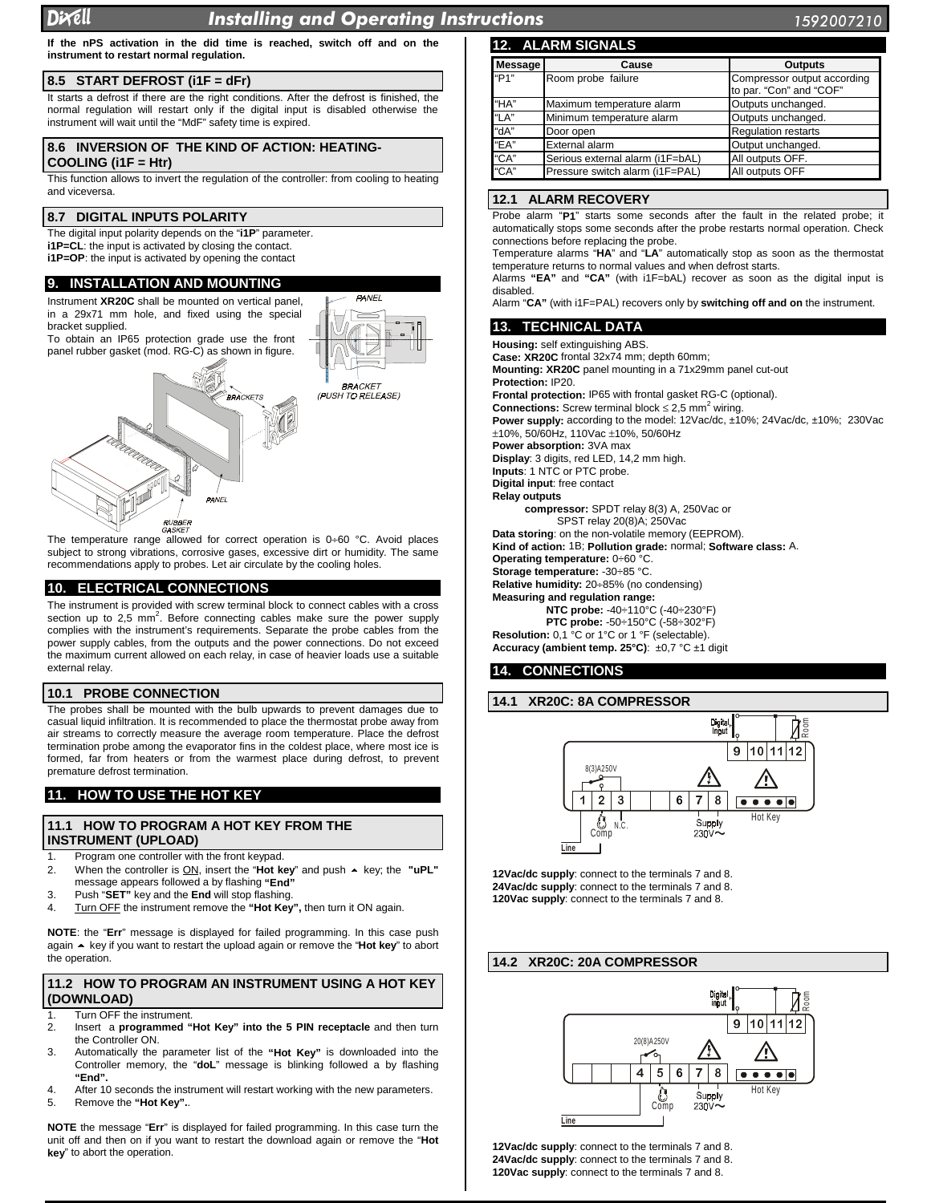#### D rell In

# stalling and Operating Instruction

**PANEL** 

**If the nPS activation in the did time is reached, switch off and on the instrument to restart normal regulation.**

# **8.5 START DEFROST (i1F = dFr)**

It starts a defrost if there are the right conditions. After the defrost is finished, the normal regulation will restart only if the digital input is disabled otherwise the instrument will wait until the "MdF" safety time is expired.

# **8.6 INVERSION OF THE KIND OF ACTION: HEATING-**

**COOLING (i1F = Htr)**

This function allows to invert the regulation of the controller: from cooling to heating and viceversa.

# **8.7 DIGITAL INPUTS POLARITY**

The digital input polarity depends on the "**i1P**" parameter. **i1P=CL**: the input is activated by closing the contact. **i1P=OP**: the input is activated by opening the contact

# **9. INSTALLATION AND MOUNTING**

Instrument **XR20C** shall be mounted on vertical panel, in a 29x71 mm hole, and fixed using the special bracket supplied.

To obtain an IP65 protection grade use the front panel rubber gasket (mod. RG-C) as shown in figure.



subject to strong vibrations, corrosive gases, excessive dirt or humidity. The same recommendations apply to probes. Let air circulate by the cooling holes.

# **10. ELECTRICAL CONNECTIONS**

The instrument is provided with screw terminal block to connect cables with a cross section up to 2,5 mm<sup>2</sup>. Before connecting cables make sure the power supply complies with the instrument's requirements. Separate the probe cables from the power supply cables, from the outputs and the power connections. Do not exceed the maximum current allowed on each relay, in case of heavier loads use a suitable external relay.

# **10.1 PROBE CONNECTION**

The probes shall be mounted with the bulb upwards to prevent damages due to casual liquid infiltration. It is recommended to place the thermostat probe away from air streams to correctly measure the average room temperature. Place the defrost termination probe among the evaporator fins in the coldest place, where most ice is formed, far from heaters or from the warmest place during defrost, to prevent premature defrost termination.

# **11. HOW TO USE THE HOT KEY**

### **11.1 HOW TO PROGRAM A HOT KEY FROM THE INSTRUMENT (UPLOAD)**

- 1. Program one controller with the front keypad.
- 2. When the controller is ON, insert the "**Hot key**" and push key; the **"uPL"** message appears followed a by flashing **"End"**
- 3. Push "**SET"** key and the **End** will stop flashing.
- Turn OFF the instrument remove the "Hot Key", then turn it ON again.

**NOTE**: the "**Err**" message is displayed for failed programming. In this case push again key if you want to restart the upload again or remove the "**Hot key**" to abort the operation.

# **11.2 HOW TO PROGRAM AN INSTRUMENT USING A HOT KEY (DOWNLOAD)**

- 
- 1. Turn OFF the instrument.<br>2. Insert a **programmed** " 2. Insert a **programmed "Hot Key" into the 5 PIN receptacle** and then turn the Controller ON.
- 3. Automatically the parameter list of the **"Hot Key"** is downloaded into the Controller memory, the "**doL**" message is blinking followed a by flashing **"End".**
- 4. After 10 seconds the instrument will restart working with the new parameters.<br>5. Remove the "Hot Kev".. 5. Remove the **"Hot Key".**.

**NOTE** the message "**Err**" is displayed for failed programming. In this case turn the unit off and then on if you want to restart the download again or remove the "**Hot key**" to abort the operation.

| Message           | Cause                            | <b>Outputs</b>                                         |
|-------------------|----------------------------------|--------------------------------------------------------|
| "P <sub>1</sub> " | Room probe failure               | Compressor output according<br>to par. "Con" and "COF" |
| "HA"              | Maximum temperature alarm        | Outputs unchanged.                                     |
| "LA"              | Minimum temperature alarm        | Outputs unchanged.                                     |
| "dA"              | Door open                        | <b>Regulation restarts</b>                             |
| "EA"              | External alarm                   | Output unchanged.                                      |
| "CA"              | Serious external alarm (i1F=bAL) | All outputs OFF.                                       |
| "CA"              | Pressure switch alarm (i1F=PAL)  | All outputs OFF                                        |

#### **12.1 ALARM RECOVERY**

Probe alarm "**P1**" starts some seconds after the fault in the related probe; it automatically stops some seconds after the probe restarts normal operation. Check connections before replacing the probe.

Temperature alarms "**HA**" and "**LA**" automatically stop as soon as the thermostat temperature returns to normal values and when defrost starts.

Alarms **"EA"** and **"CA"** (with i1F=bAL) recover as soon as the digital input is disabled.

Alarm "**CA"** (with i1F=PAL) recovers only by **switching off and on** the instrument.

# **13. TECHNICAL DATA**

**Housing:** self extinguishing ABS. **Case: XR20C** frontal 32x74 mm; depth 60mm; **Mounting: XR20C** panel mounting in a 71x29mm panel cut-out **Protection:** IP20. **Frontal protection:** IP65 with frontal gasket RG-C (optional). **Connections:** Screw terminal block  $\leq 2.5$  mm<sup>2</sup> wiring. **Power supply:** according to the model: 12Vac/dc, ±10%; 24Vac/dc, ±10%; 230Vac ±10%, 50/60Hz, 110Vac ±10%, 50/60Hz **Power absorption:** 3VA max **Display**: 3 digits, red LED, 14,2 mm high. **Inputs**: 1 NTC or PTC probe. **Digital input**: free contact **Relay outputs compressor:** SPDT relay 8(3) A, 250Vac or SPST relay 20(8)A; 250Vac **Data storing**: on the non-volatile memory (EEPROM). **Kind of action:** 1B; **Pollution grade:** normal; **Software class:** A. **Operating temperature:** 0÷60 °C. **Storage temperature:** -30÷85 °C. **Relative humidity:** 20÷85% (no condensing) **Measuring and regulation range: NTC probe:** -40÷110°C (-40÷230°F) **PTC probe:** -50÷150°C (-58÷302°F) **Resolution:** 0,1 °C or 1°C or 1 °F (selectable). **Accuracy (ambient temp. 25°C)**: ±0,7 °C ±1 digit

# **14. CONNECTIONS**

#### **14.1 XR20C: 8A COMPRESSOR**



**12Vac/dc supply**: connect to the terminals 7 and 8. **24Vac/dc supply**: connect to the terminals 7 and 8. **120Vac supply**: connect to the terminals 7 and 8.

# **14.2 XR20C: 20A COMPRESSOR**



**12Vac/dc supply**: connect to the terminals 7 and 8. **24Vac/dc supply**: connect to the terminals 7 and 8. **120Vac supply**: connect to the terminals 7 and 8.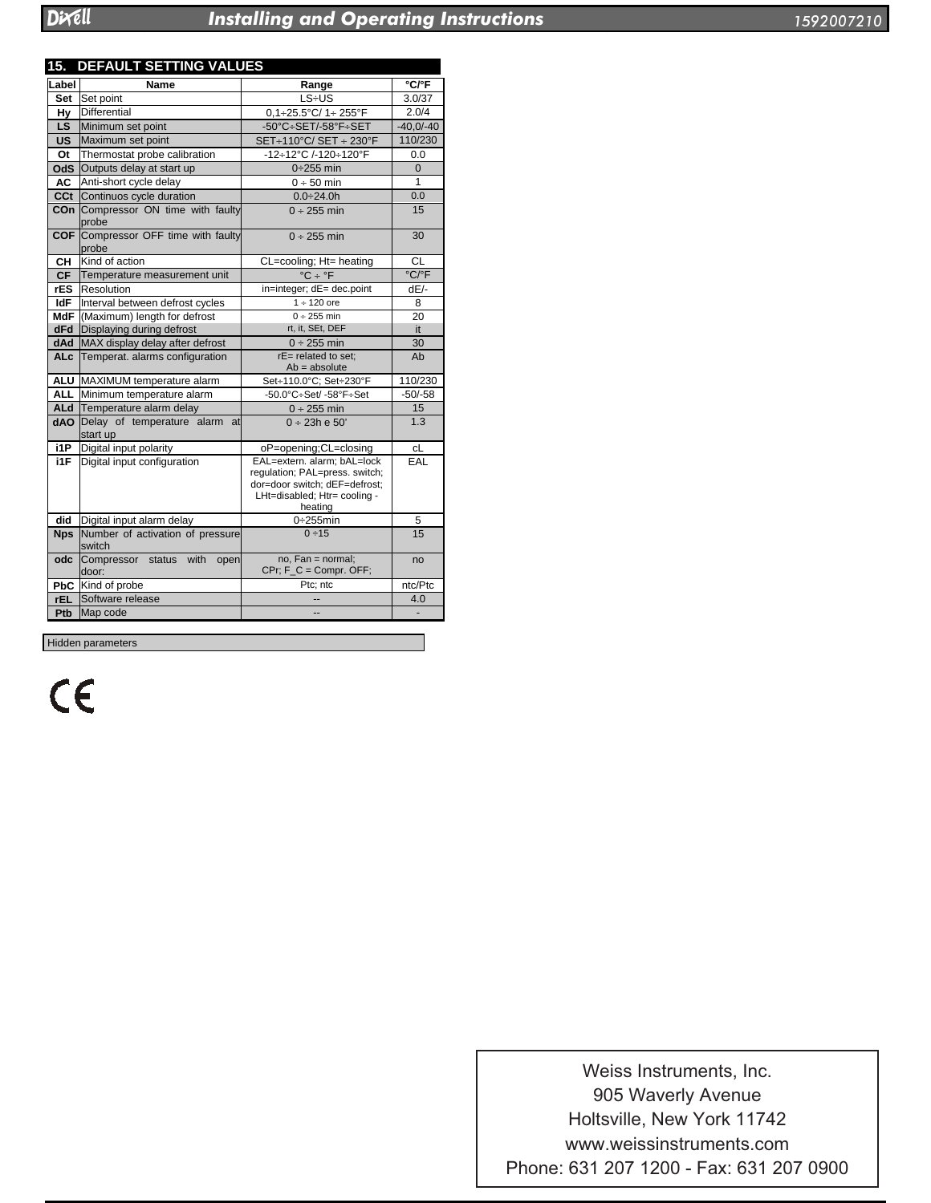# stalling and Operating Instruction

| 1592007210 |
|------------|
|------------|

| <b>DEFAULT SETTING VALUES</b><br>15. |                                                         |                                                                                                                                           |                            |  |  |  |
|--------------------------------------|---------------------------------------------------------|-------------------------------------------------------------------------------------------------------------------------------------------|----------------------------|--|--|--|
| Label                                | Name                                                    | Range                                                                                                                                     | $°C$ $F$                   |  |  |  |
| Set                                  | Set point                                               | $LS + US$                                                                                                                                 | 3.0/37                     |  |  |  |
| Hy                                   | Differential                                            | $0.1 + 25.5$ °C/ 1+ 255°F                                                                                                                 | 2.0/4                      |  |  |  |
| LS.                                  | Minimum set point                                       | $-50^{\circ}$ C $+$ SET/-58 $^{\circ}$ F $+$ SET                                                                                          | $-40,0/-40$                |  |  |  |
|                                      | <b>US</b> Maximum set point                             | SET+110°C/ SET + 230°F                                                                                                                    | 110/230                    |  |  |  |
| Ot                                   | Thermostat probe calibration                            | -12÷12°C /-120÷120°F                                                                                                                      | 0.0                        |  |  |  |
|                                      | <b>OdS</b> Outputs delay at start up                    | $0+255$ min                                                                                                                               | $\overline{0}$             |  |  |  |
| AC                                   | Anti-short cycle delay                                  | $0 ÷ 50$ min                                                                                                                              | 1                          |  |  |  |
|                                      | <b>CCt</b> Continuos cycle duration                     | $0.0 \div 24.0 h$                                                                                                                         | 0.0                        |  |  |  |
|                                      | COn Compressor ON time with faulty<br>probe             | $0 \div 255$ min                                                                                                                          | 15                         |  |  |  |
|                                      | <b>COF</b> Compressor OFF time with faulty<br>probe     | $0 \div 255$ min                                                                                                                          | 30                         |  |  |  |
| CН                                   | Kind of action                                          | CL=cooling; Ht= heating                                                                                                                   | CL                         |  |  |  |
|                                      | CF Temperature measurement unit                         | $^{\circ}$ C ÷ $^{\circ}$ F                                                                                                               | $\overline{C/{}^{\circ}F}$ |  |  |  |
|                                      | rES Resolution                                          | in=integer; dE= dec.point                                                                                                                 | $dE$ -                     |  |  |  |
| ldF                                  | Interval between defrost cycles                         | $1 + 120$ ore                                                                                                                             | 8                          |  |  |  |
|                                      | MdF (Maximum) length for defrost                        | $0 + 255$ min                                                                                                                             | 20                         |  |  |  |
|                                      | <b>dFd</b> Displaying during defrost                    | rt, it, SEt, DEF                                                                                                                          | it                         |  |  |  |
|                                      | dAd MAX display delay after defrost                     | $0 \div 255$ min                                                                                                                          | 30                         |  |  |  |
|                                      | ALc Temperat. alarms configuration                      | $rE$ = related to set;<br>$Ab = absolute$                                                                                                 | Ab                         |  |  |  |
|                                      | ALU MAXIMUM temperature alarm                           | Set÷110.0°C; Set÷230°F                                                                                                                    | 110/230                    |  |  |  |
|                                      | ALL Minimum temperature alarm                           | $-50.0^{\circ}$ C $\div$ Set/ $-58^{\circ}$ F $\div$ Set                                                                                  | $-50/-58$                  |  |  |  |
|                                      | ALd Temperature alarm delay                             | $0 \div 255$ min                                                                                                                          | 15                         |  |  |  |
|                                      | <b>dAO</b> Delay of temperature alarm<br>at<br>start up | $0 \div 23h \text{ e } 50'$                                                                                                               | 1.3                        |  |  |  |
| i1P                                  | Digital input polarity                                  | oP=opening;CL=closing                                                                                                                     | cL                         |  |  |  |
| i1F                                  | Digital input configuration                             | EAL=extern. alarm; bAL=lock<br>regulation; PAL=press. switch;<br>dor=door switch; dEF=defrost;<br>LHt=disabled; Htr= cooling -<br>heating | EAL                        |  |  |  |
| did                                  | Digital input alarm delay                               | $0+255$ min                                                                                                                               | 5                          |  |  |  |
| <b>Nps</b>                           | Number of activation of pressure<br>switch              | 0 ÷ 15                                                                                                                                    | 15                         |  |  |  |
| odc                                  | Compressor status<br>with<br>open<br>door:              | $no$ , $Fan = normal$ ;<br>$CPr$ ; $F_C = Compr$ . OFF;                                                                                   | no                         |  |  |  |
|                                      | PbC Kind of probe                                       | Ptc: ntc                                                                                                                                  | ntc/Ptc                    |  |  |  |
| rEL.                                 | Software release                                        |                                                                                                                                           | 4.0                        |  |  |  |
| Ptb                                  | Map code                                                |                                                                                                                                           |                            |  |  |  |
| Hidden parameters                    |                                                         |                                                                                                                                           |                            |  |  |  |

CE

Dixell s.r.l. Z.I. Via dell'Industria, 27 www.weissinstruments.com Phone: 631 207 1200 - Fax: 631 207 0900 Weiss Instruments, Inc. 905 Waverly Avenue Holtsville, New York 11742